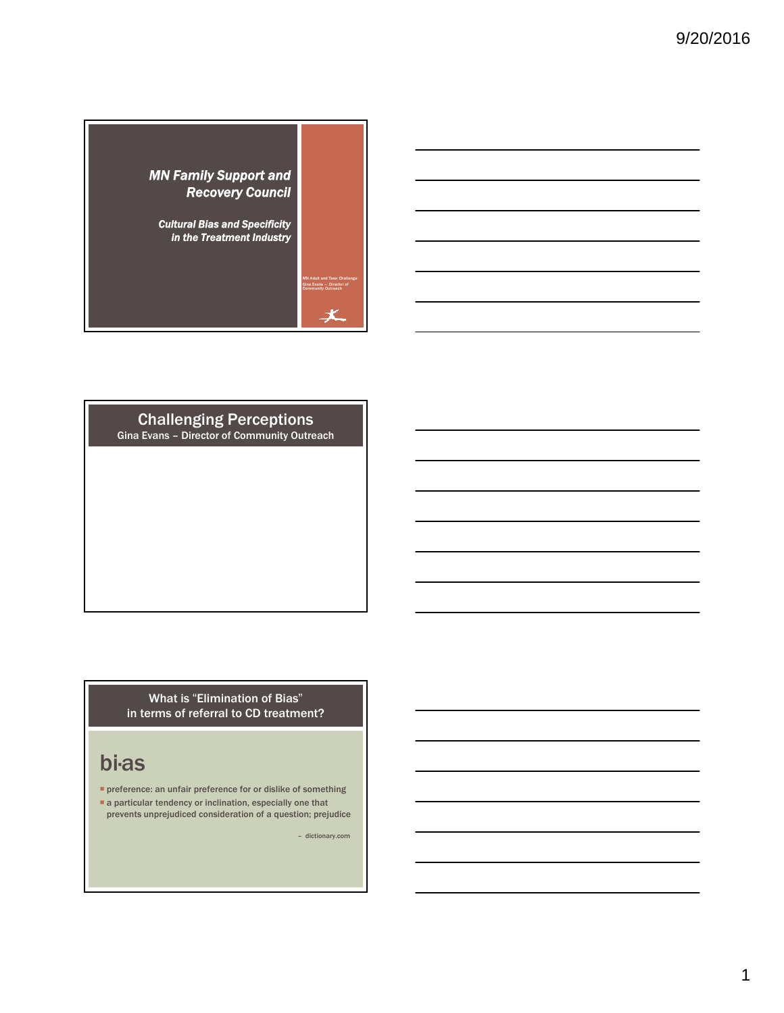

#### Challenging Perceptions Gina Evans – Director of Community Outreach

#### What is "Elimination of Bias" in terms of referral to CD treatment?

# bi·as

**P** preference: an unfair preference for or dislike of something

a particular tendency or inclination, especially one that prevents unprejudiced consideration of a question; prejudice

– dictionary.com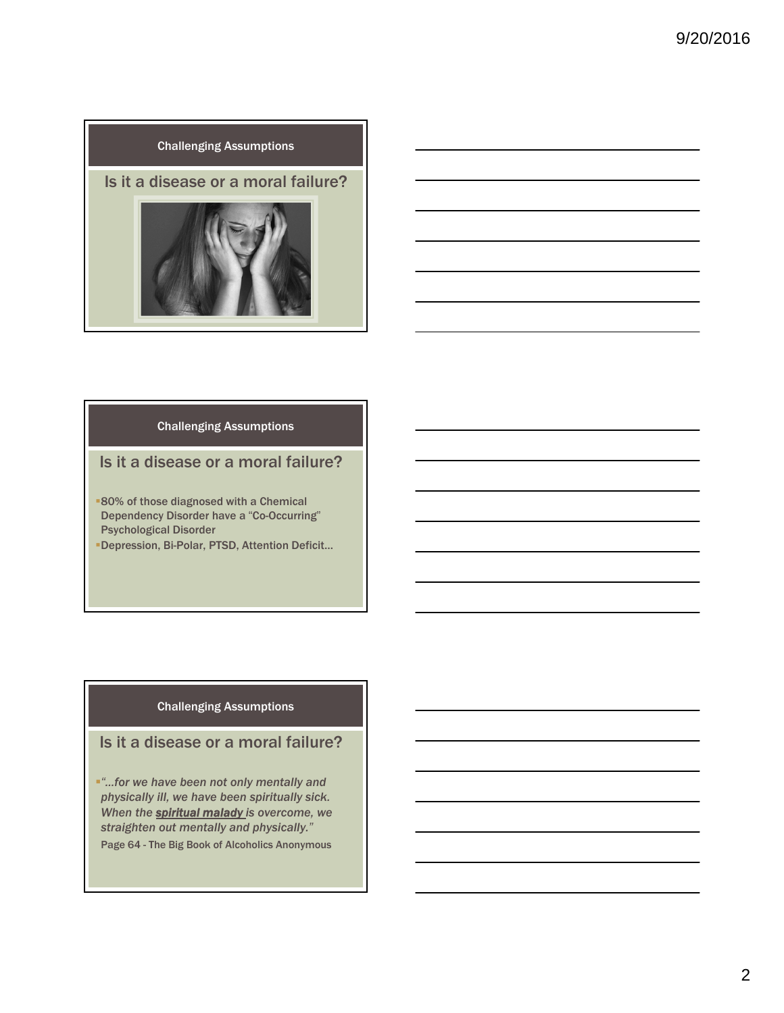



#### Challenging Assumptions

#### Is it a disease or a moral failure?

- **80% of those diagnosed with a Chemical** Dependency Disorder have a "Co-Occurring" Psychological Disorder
- Depression, Bi-Polar, PTSD, Attention Deficit…

#### Challenging Assumptions

#### Is it a disease or a moral failure?

*"…for we have been not only mentally and physically ill, we have been spiritually sick. When the spiritual malady is overcome, we straighten out mentally and physically."* Page 64 - The Big Book of Alcoholics Anonymous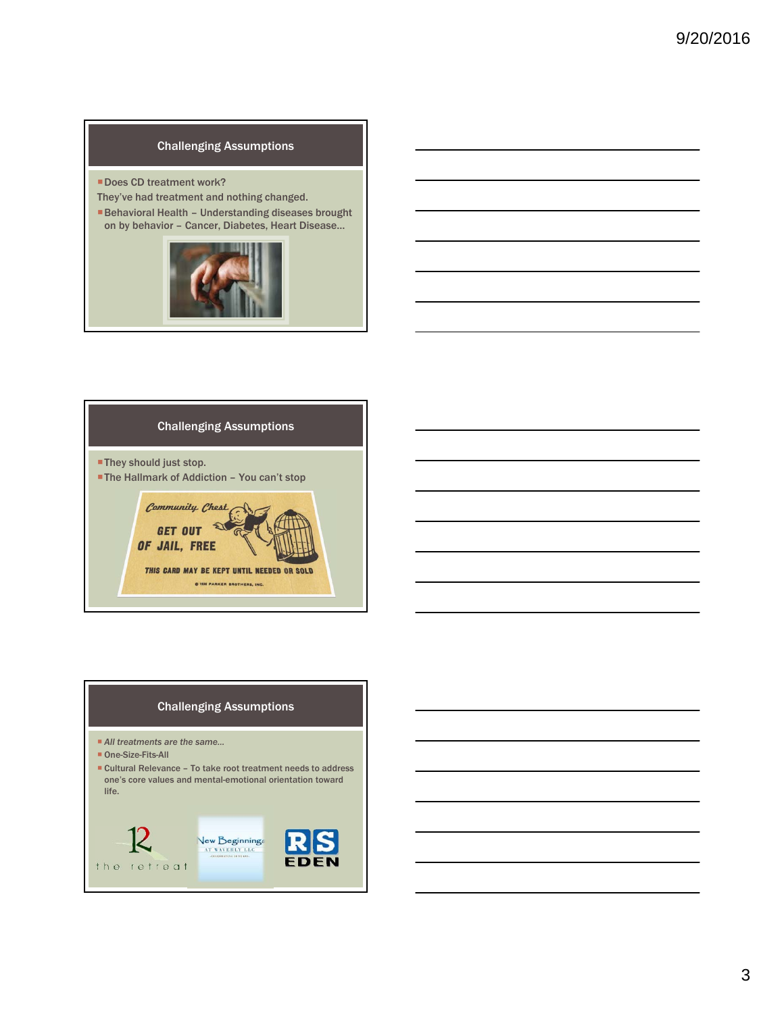#### Challenging Assumptions

- Does CD treatment work?
- They've had treatment and nothing changed.
- Behavioral Health Understanding diseases brought on by behavior – Cancer, Diabetes, Heart Disease…





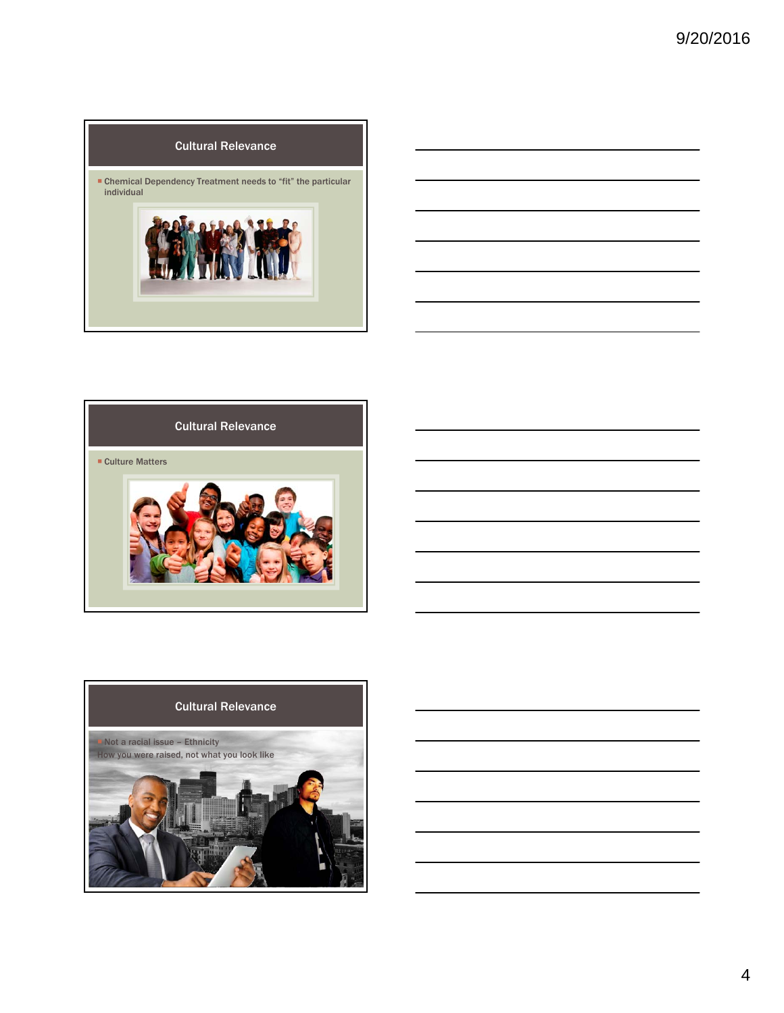



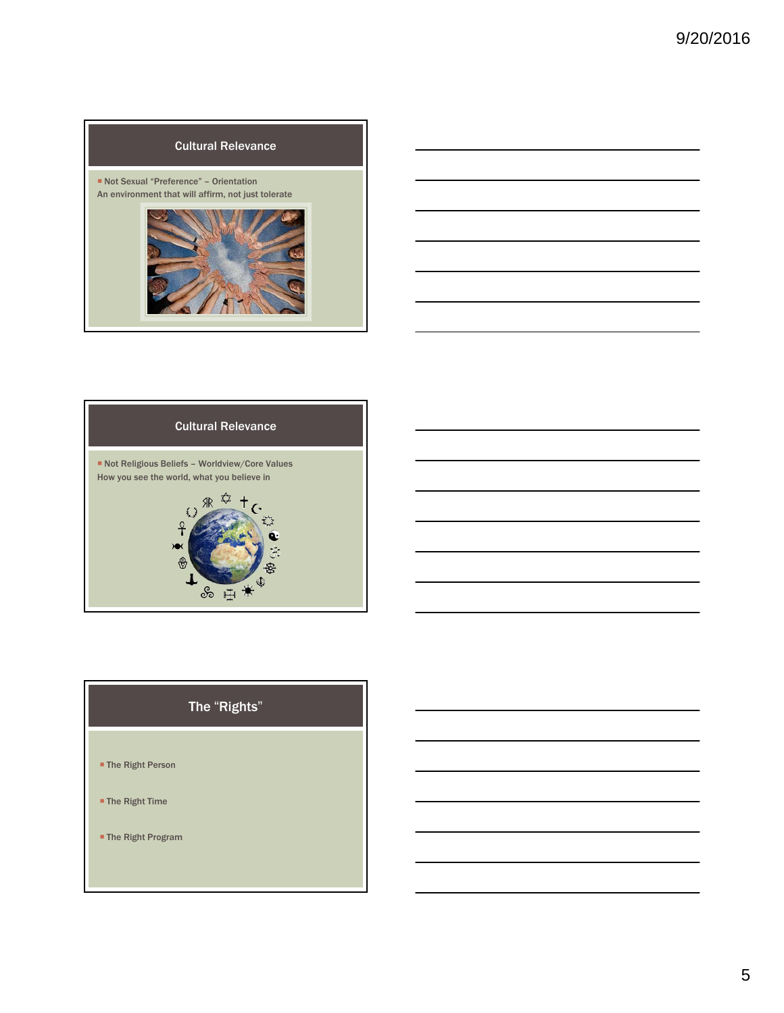





# The "Rights"

- The Right Person
- The Right Time
- The Right Program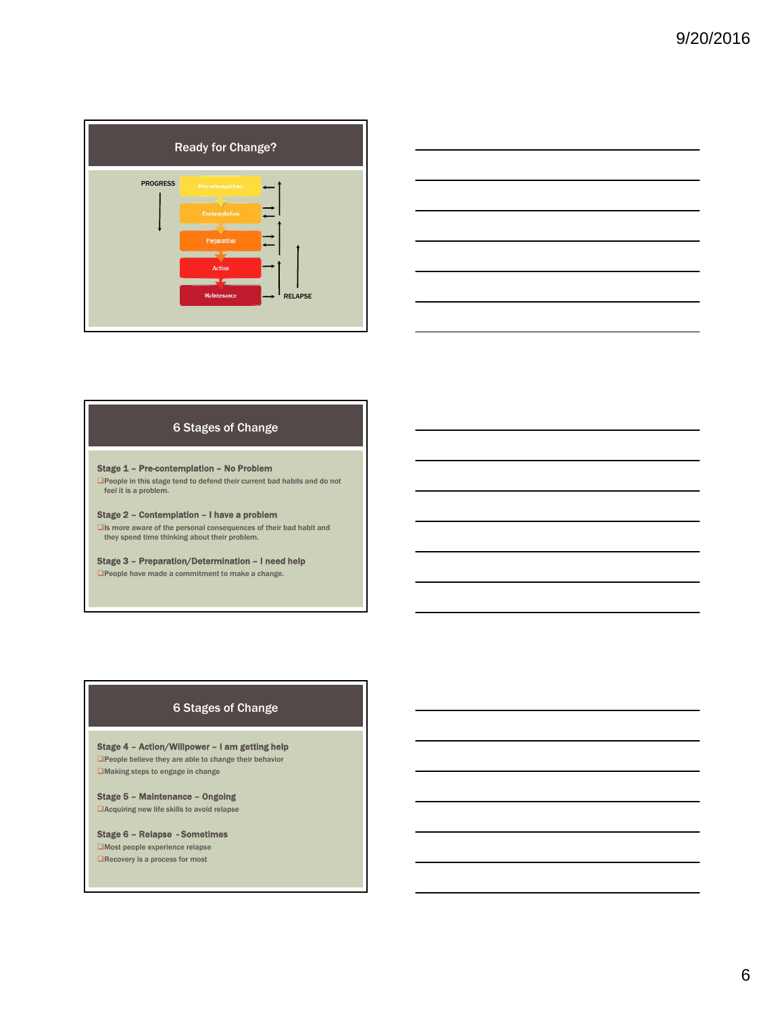| <b>Ready for Change?</b>                                                                                   |                |
|------------------------------------------------------------------------------------------------------------|----------------|
| <b>PROGRESS</b><br>Precontemplation<br><b>Contemplation</b><br>Preparation<br>Action<br><b>Maintenance</b> | <b>RELAPSE</b> |



#### 6 Stages of Change

#### Stage 1 – Pre-contemplation – No Problem

People in this stage tend to defend their current bad habits and do not feel it is a problem.

Stage 2 – Contemplation – I have a problem

Is more aware of the personal consequences of their bad habit and they spend time thinking about their problem.

Stage 3 – Preparation/Determination – I need help

People have made a commitment to make a change.

#### 6 Stages of Change

Stage 4 – Action/Willpower – I am getting help People believe they are able to change their behavior Making steps to engage in change

Stage 5 – Maintenance – Ongoing Acquiring new life skills to avoid relapse

Stage 6 – Relapse - Sometimes Most people experience relapse  $\Box$ Recovery is a process for most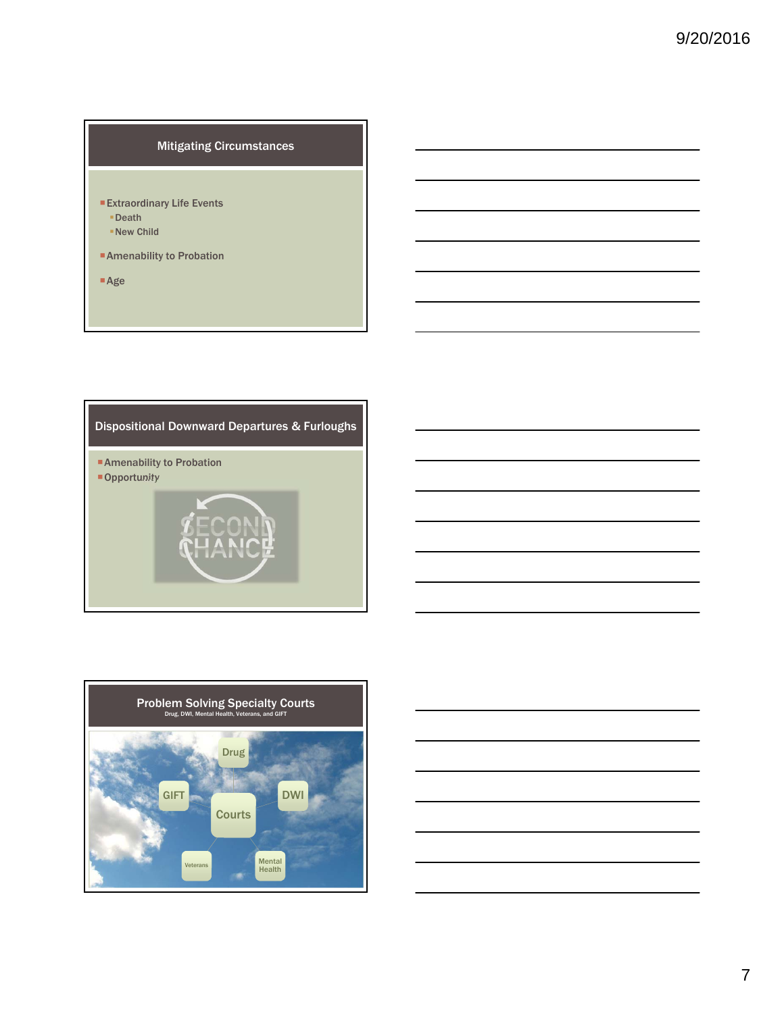#### Mitigating Circumstances

- Extraordinary Life Events
	- Death
	- New Child
- Amenability to Probation
- Age

### Dispositional Downward Departures & Furloughs

■ Amenability to Probation **Opportunity** 

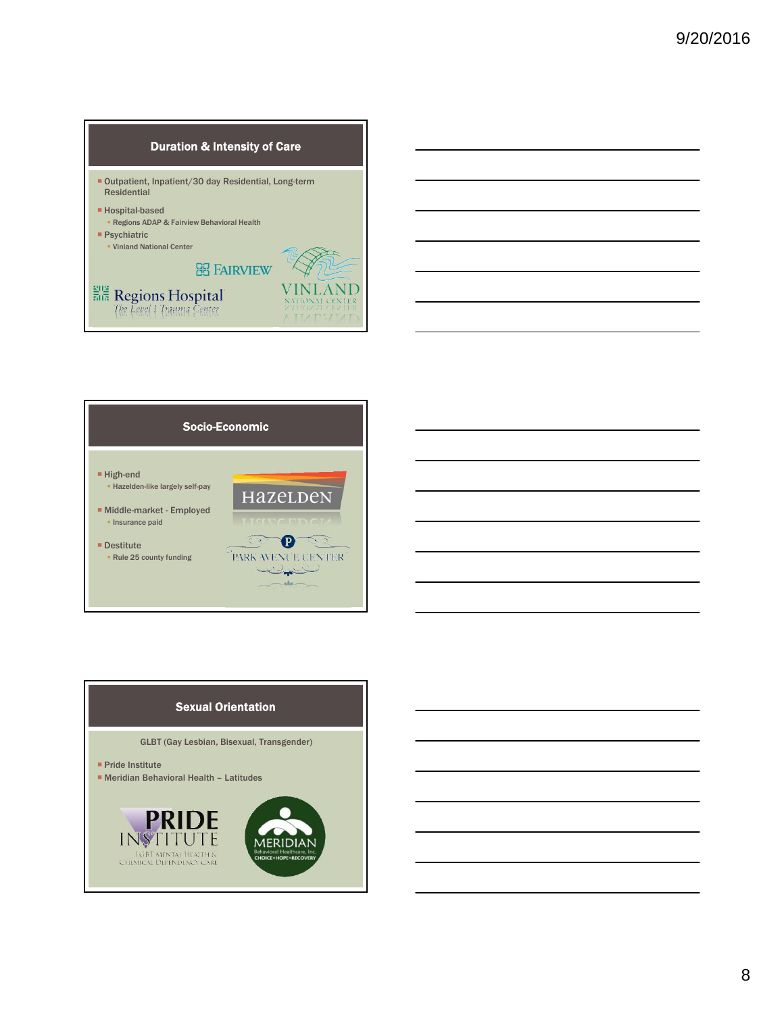#### Duration & Intensity of Care

- Outpatient, Inpatient/30 day Residential, Long-term Residential
- Hospital-based

 $\frac{202}{505} \frac{\text{Regions Hospital}}{\text{Rec} \left(\text{Gaussian} \right)}$ 

- Regions ADAP & Fairview Behavioral Health
- **Psychiatric** Vinland National Center





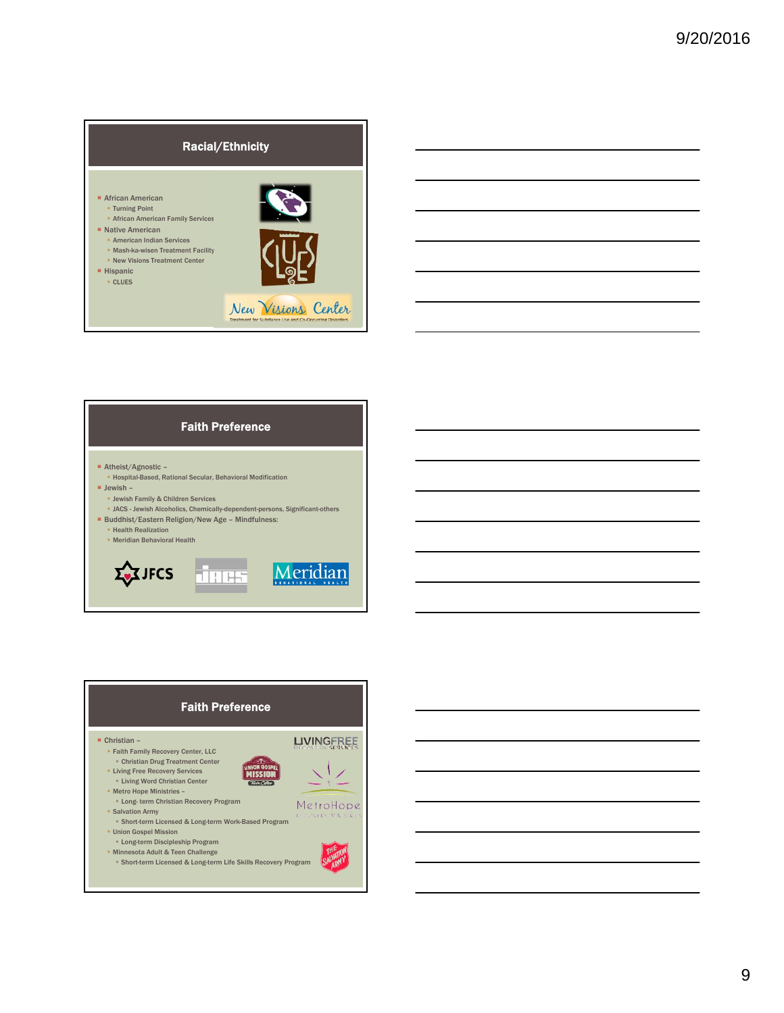

■ Atheist/Agnostic –

**Health Realization** Meridian Behavioral Health

 $\Sigma$ JFCS

Jewish Family & Children Services

 $\blacksquare$  Jewish –

Hospital-Based, Rational Secular, Behavioral Modification

■ Buddhist/Eastern Religion/New Age - Mindfulness:

JACS - Jewish Alcoholics, Chemically-dependent-persons, Significant-others

JACS

Meridian

Faith Preference



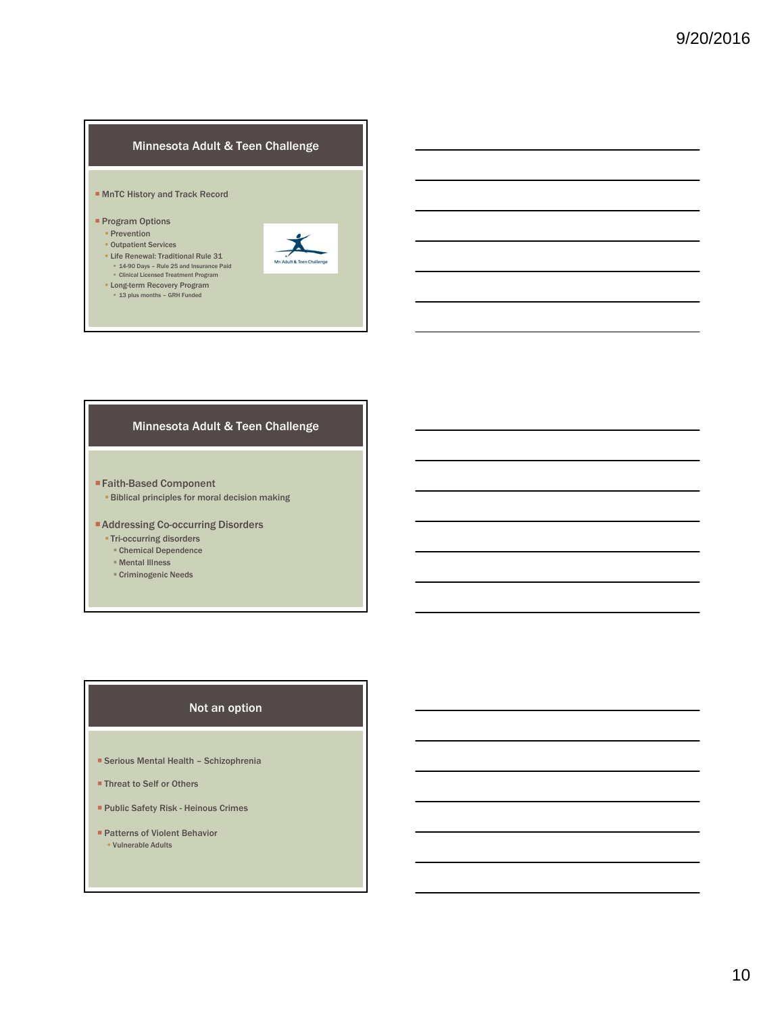#### Minnesota Adult & Teen Challenge

#### ■ MnTC History and Track Record

- **Program Options** 
	- **Prevention**
	- **Outpatient Services**
	- **Life Renewal: Traditional Rule 31** 14-90 Days – Rule 25 and Insurance Paid Clinical Licensed Treatment Program
	-
	- Long-term Recovery Program 13 plus months GRH Funded



#### Minnesota Adult & Teen Challenge

- Faith-Based Component
	- Biblical principles for moral decision making
- Addressing Co-occurring Disorders
	- **Tri-occurring disorders**
	- Chemical Dependence
	- Mental Illness
	- Criminogenic Needs

#### Not an option

- Serious Mental Health Schizophrenia
- Threat to Self or Others
- Public Safety Risk Heinous Crimes
- **Patterns of Violent Behavior** Vulnerable Adults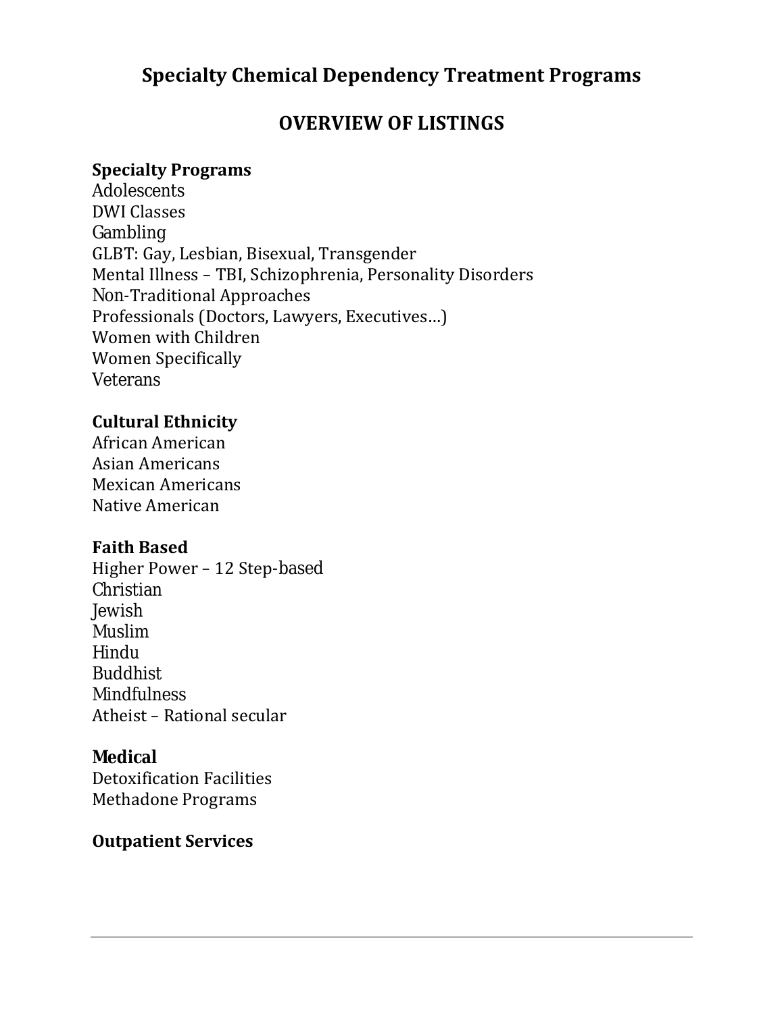# **Specialty Chemical Dependency Treatment Programs**

# **OVERVIEW OF LISTINGS**

### **Specialty Programs**

Adolescents DWI Classes Gambling GLBT: Gay, Lesbian, Bisexual, Transgender Mental Illness – TBI, Schizophrenia, Personality Disorders Non-Traditional Approaches Professionals (Doctors, Lawyers, Executives…) Women with Children Women Specifically Veterans

### **Cultural Ethnicity**

African American Asian Americans Mexican Americans Native American

### **Faith Based**

Higher Power – 12 Step-based Christian Jewish Muslim Hindu Buddhist **Mindfulness** Atheist – Rational secular

### **Medical**

Detoxification Facilities Methadone Programs

## **Outpatient Services**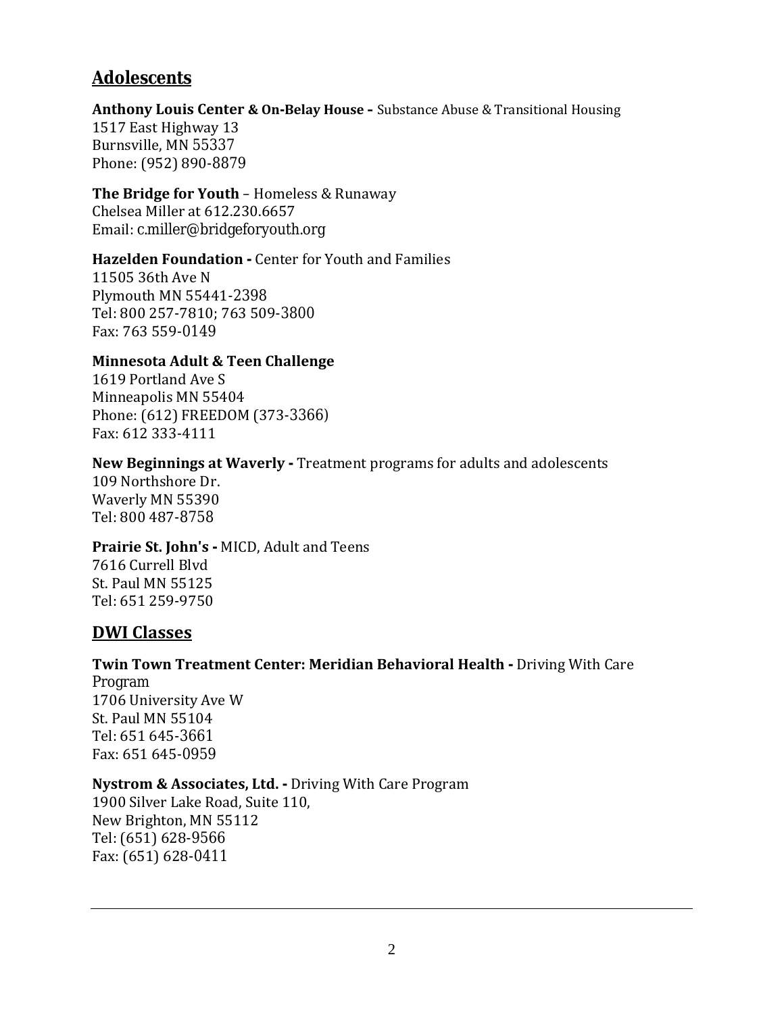# **Adolescents**

**Anthony Louis Center & On-Belay House –** Substance Abuse & Transitional Housing 1517 East Highway 13 Burnsville, MN 55337 Phone: (952) 890-8879

**The Bridge for Youth** – Homeless & Runaway Chelsea Miller at 612.230.6657 Email: c.miller@bridgeforyouth.org

#### **Hazelden Foundation -** Center for Youth and Families

11505 36th Ave N Plymouth MN 55441-2398 Tel: 800 257-7810; 763 509-3800 Fax: 763 559-0149

#### **Minnesota Adult & Teen Challenge**

1619 Portland Ave S Minneapolis MN 55404 Phone: (612) FREEDOM (373-3366) Fax: 612 333-4111

#### **New Beginnings at Waverly -** Treatment programs for adults and adolescents

109 Northshore Dr. Waverly MN 55390 Tel: 800 487-8758

#### **Prairie St. John's -** MICD, Adult and Teens

7616 Currell Blvd St. Paul MN 55125 Tel: 651 259-9750

### **DWI Classes**

# **Twin Town Treatment Center: Meridian Behavioral Health -** Driving With Care Program

1706 University Ave W St. Paul MN 55104 Tel: 651 645-3661 Fax: 651 645-0959

#### **Nystrom & Associates, Ltd. -** Driving With Care Program

1900 Silver Lake Road, Suite 110, New Brighton, MN 55112 Tel: (651) 628-9566 Fax: (651) 628-0411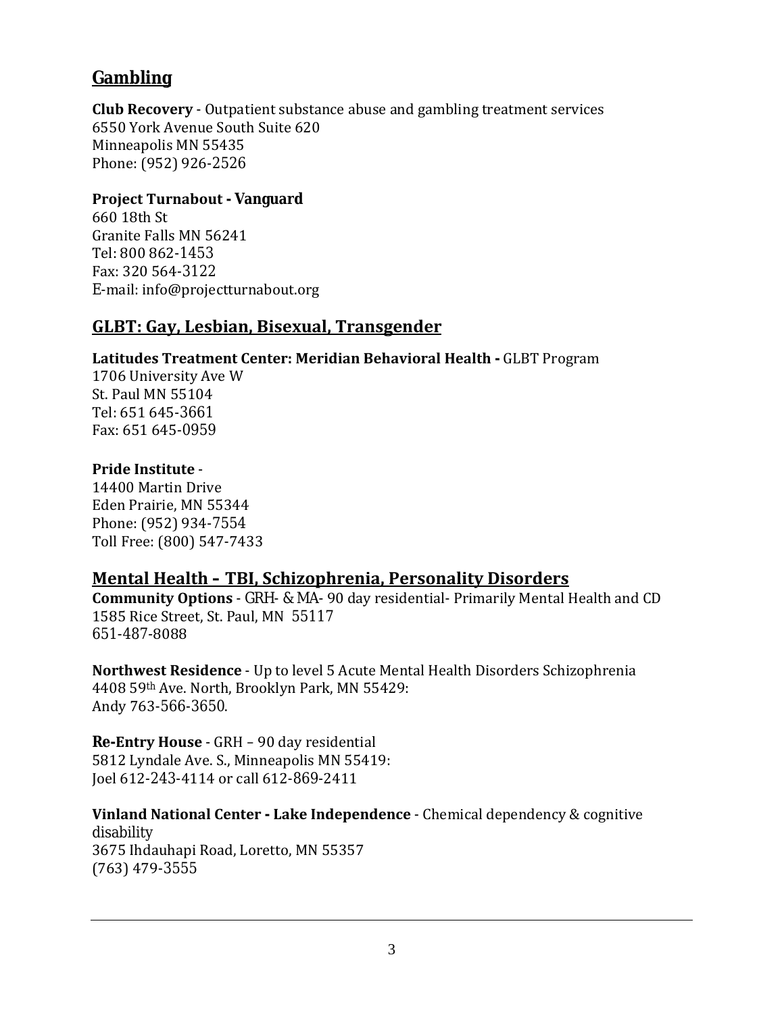# **Gambling**

**Club Recovery** - Outpatient substance abuse and gambling treatment services 6550 York Avenue South Suite 620 Minneapolis MN 55435 Phone: (952) 926-2526

### **Project Turnabout - Vanguard**

660 18th St Granite Falls MN 56241 Tel: 800 862-1453 Fax: 320 564-3122 E-mail: info@projectturnabout.org

### **GLBT: Gay, Lesbian, Bisexual, Transgender**

### **Latitudes Treatment Center: Meridian Behavioral Health -** GLBT Program

1706 University Ave W St. Paul MN 55104 Tel: 651 645-3661 Fax: 651 645-0959

### **Pride Institute** -

14400 Martin Drive Eden Prairie, MN 55344 Phone: (952) 934-7554 Toll Free: (800) 547-7433

### **Mental Health – TBI, Schizophrenia, Personality Disorders**

**Community Options** - GRH- & MA- 90 day residential- Primarily Mental Health and CD 1585 Rice Street, St. Paul, MN 55117 651-487-8088

**Northwest Residence** - Up to level 5 Acute Mental Health Disorders Schizophrenia 4408 59th Ave. North, Brooklyn Park, MN 55429: Andy 763-566-3650.

**Re-Entry House** - GRH – 90 day residential 5812 Lyndale Ave. S., Minneapolis MN 55419: Joel 612-243-4114 or call 612-869-2411

**Vinland National Center - Lake Independence** - Chemical dependency & cognitive disability 3675 Ihdauhapi Road, Loretto, MN 55357 (763) 479-3555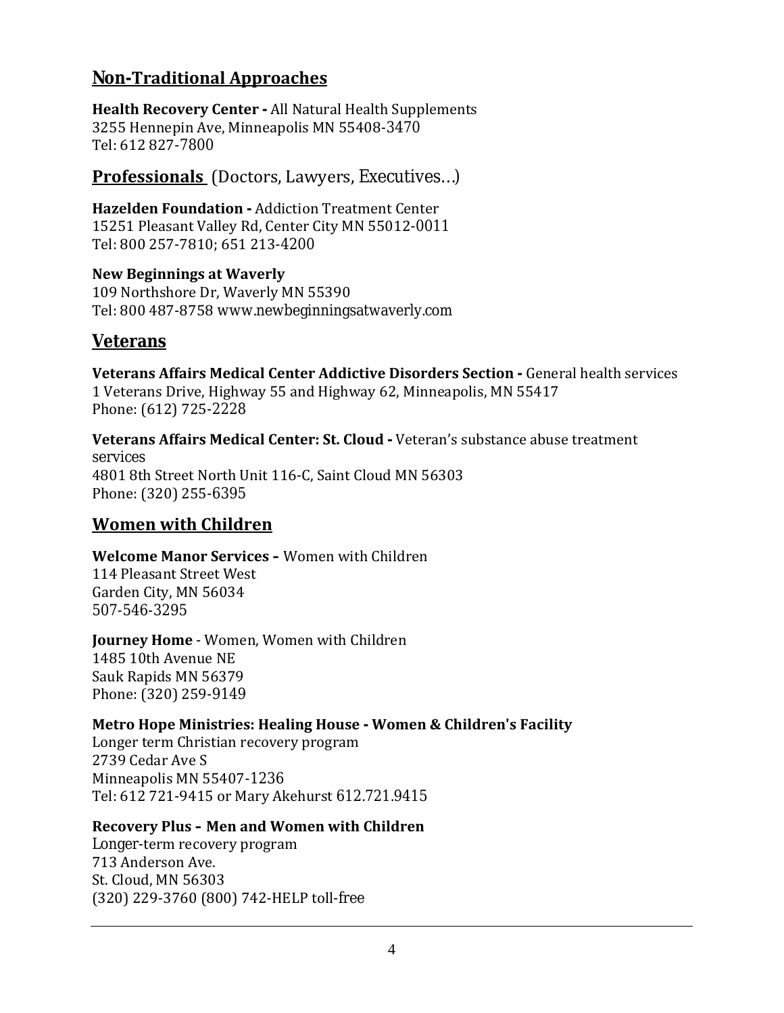## **Non-Traditional Approaches**

**Health Recovery Center -** All Natural Health Supplements 3255 Hennepin Ave, Minneapolis MN 55408-3470 Tel: 612 827-7800

**Professionals** (Doctors, Lawyers, Executives…)

**Hazelden Foundation -** Addiction Treatment Center 15251 Pleasant Valley Rd, Center City MN 55012-0011 Tel: 800 257-7810; 651 213-4200

**New Beginnings at Waverly** 109 Northshore Dr, Waverly MN 55390 Tel: 800 487-8758 www.newbeginningsatwaverly.com

# **Veterans**

**Veterans Affairs Medical Center Addictive Disorders Section -** General health services 1 Veterans Drive, Highway 55 and Highway 62, Minneapolis, MN 55417 Phone: (612) 725-2228

**Veterans Affairs Medical Center: St. Cloud -** Veteran's substance abuse treatment services 4801 8th Street North Unit 116-C, Saint Cloud MN 56303 Phone: (320) 255-6395

### **Women with Children**

**Welcome Manor Services –** Women with Children 114 Pleasant Street West Garden City, MN 56034 507-546-3295

**Journey Home** - Women, Women with Children 1485 10th Avenue NE Sauk Rapids MN 56379 Phone: (320) 259-9149

### **Metro Hope Ministries: Healing House - Women & Children's Facility**

Longer term Christian recovery program 2739 Cedar Ave S Minneapolis MN 55407-1236 Tel: 612 721-9415 or Mary Akehurst 612.721.9415

### **Recovery Plus – Men and Women with Children**

Longer-term recovery program 713 Anderson Ave. St. Cloud, MN 56303 (320) 229-3760 (800) 742-HELP toll-free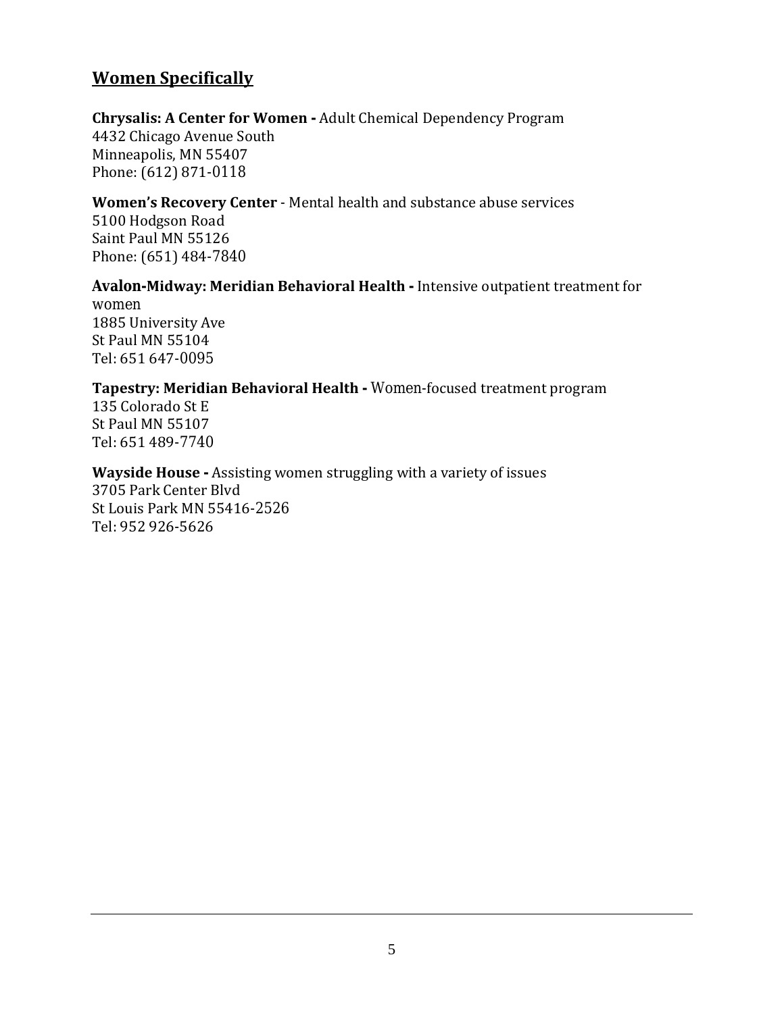## **Women Specifically**

#### **Chrysalis: A Center for Women -** Adult Chemical Dependency Program

4432 Chicago Avenue South Minneapolis, MN 55407 Phone: (612) 871-0118

#### **Women's Recovery Center** - Mental health and substance abuse services

5100 Hodgson Road Saint Paul MN 55126 Phone: (651) 484-7840

#### **Avalon-Midway: Meridian Behavioral Health -** Intensive outpatient treatment for women 1885 University Ave St Paul MN 55104 Tel: 651 647-0095

#### **Tapestry: Meridian Behavioral Health -** Women-focused treatment program

135 Colorado St E St Paul MN 55107 Tel: 651 489-7740

#### **Wayside House -** Assisting women struggling with a variety of issues 3705 Park Center Blvd St Louis Park MN 55416-2526 Tel: 952 926-5626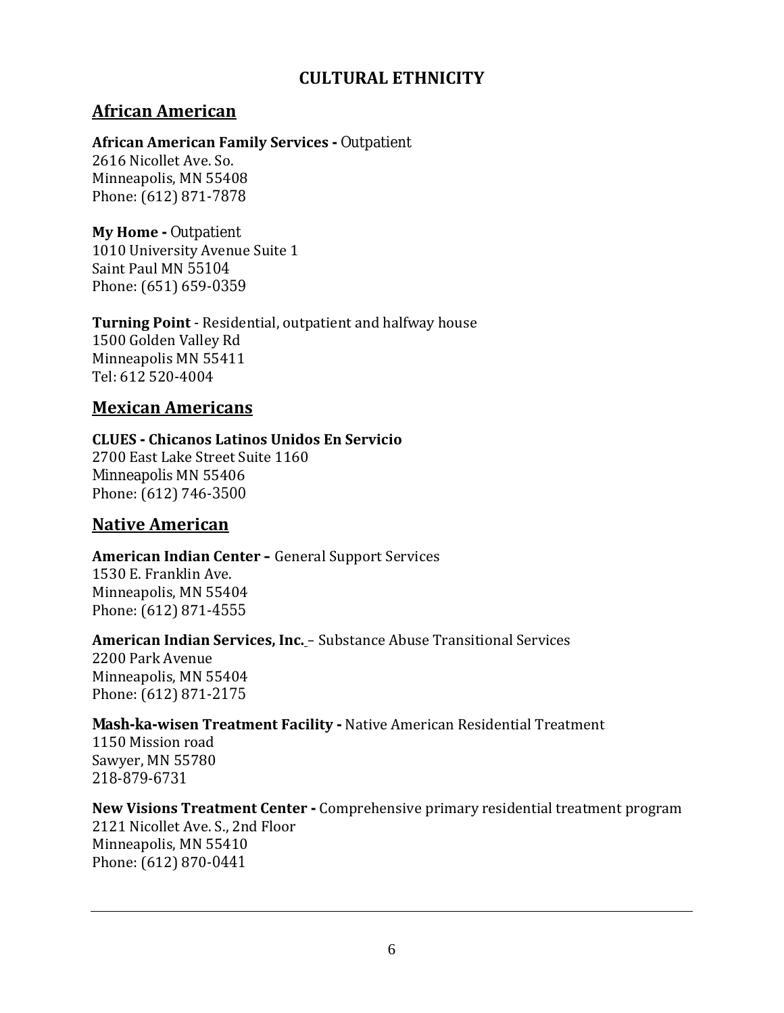## **CULTURAL ETHNICITY**

# **African American**

#### **African American Family Services -** Outpatient

2616 Nicollet Ave. So. Minneapolis, MN 55408 Phone: (612) 871-7878

# **My Home -** Outpatient

1010 University Avenue Suite 1 Saint Paul MN 55104 Phone: (651) 659-0359

#### **Turning Point** - Residential, outpatient and halfway house 1500 Golden Valley Rd Minneapolis MN 55411 Tel: 612 520-4004

### **Mexican Americans**

#### **CLUES - Chicanos Latinos Unidos En Servicio** 2700 East Lake Street Suite 1160 Minneapolis MN 55406 Phone: (612) 746-3500

### **Native American**

#### **American Indian Center –** General Support Services 1530 E. Franklin Ave.

Minneapolis, MN 55404 Phone: (612) 871-4555

### **American Indian Services, Inc.** – Substance Abuse Transitional Services

2200 Park Avenue Minneapolis, MN 55404 Phone: (612) 871-2175

### **Mash-ka-wisen Treatment Facility -** Native American Residential Treatment

1150 Mission road Sawyer, MN 55780 218-879-6731

### **New Visions Treatment Center -** Comprehensive primary residential treatment program

2121 Nicollet Ave. S., 2nd Floor Minneapolis, MN 55410 Phone: (612) 870-0441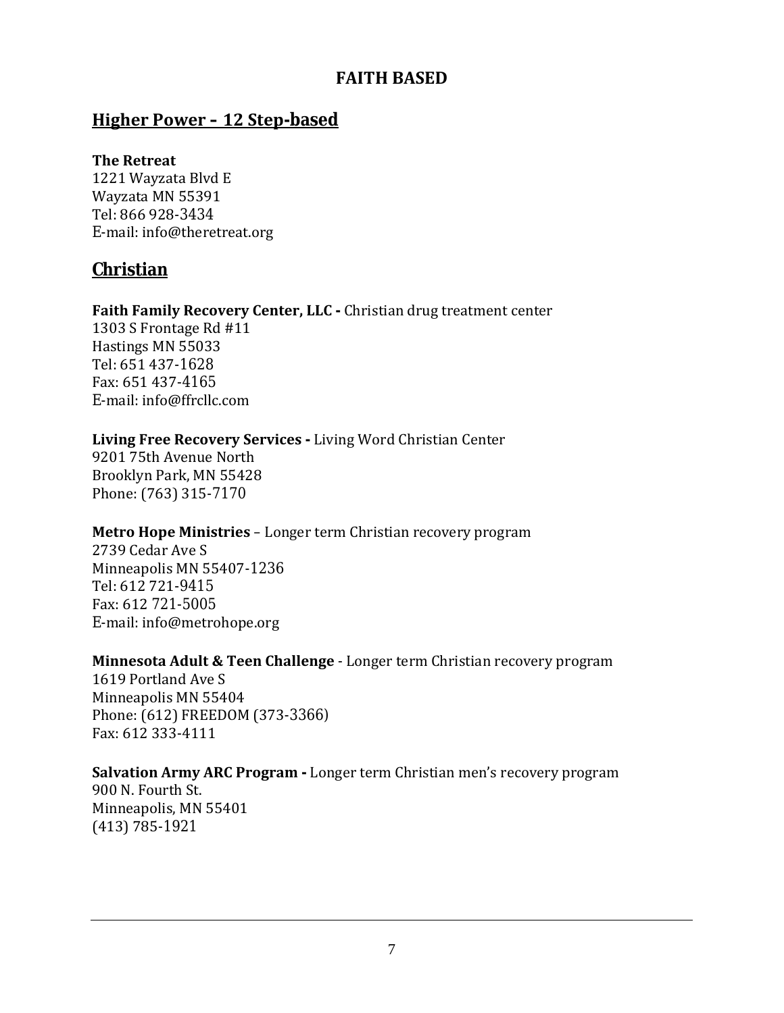## **FAITH BASED**

### **Higher Power – 12 Step-based**

#### **The Retreat**

1221 Wayzata Blvd E Wayzata MN 55391 Tel: 866 928-3434 E-mail: info@theretreat.org

### **Christian**

#### **Faith Family Recovery Center, LLC -** Christian drug treatment center

1303 S Frontage Rd #11 Hastings MN 55033 Tel: 651 437-1628 Fax: 651 437-4165 E-mail: info@ffrcllc.com

### **Living Free Recovery Services -** Living Word Christian Center

9201 75th Avenue North Brooklyn Park, MN 55428 Phone: (763) 315-7170

### **Metro Hope Ministries** – Longer term Christian recovery program

2739 Cedar Ave S Minneapolis MN 55407-1236 Tel: 612 721-9415 Fax: 612 721-5005 E-mail: info@metrohope.org

#### **Minnesota Adult & Teen Challenge** - Longer term Christian recovery program

1619 Portland Ave S Minneapolis MN 55404 Phone: (612) FREEDOM (373-3366) Fax: 612 333-4111

# **Salvation Army ARC Program -** Longer term Christian men's recovery program

900 N. Fourth St. Minneapolis, MN 55401 (413) 785-1921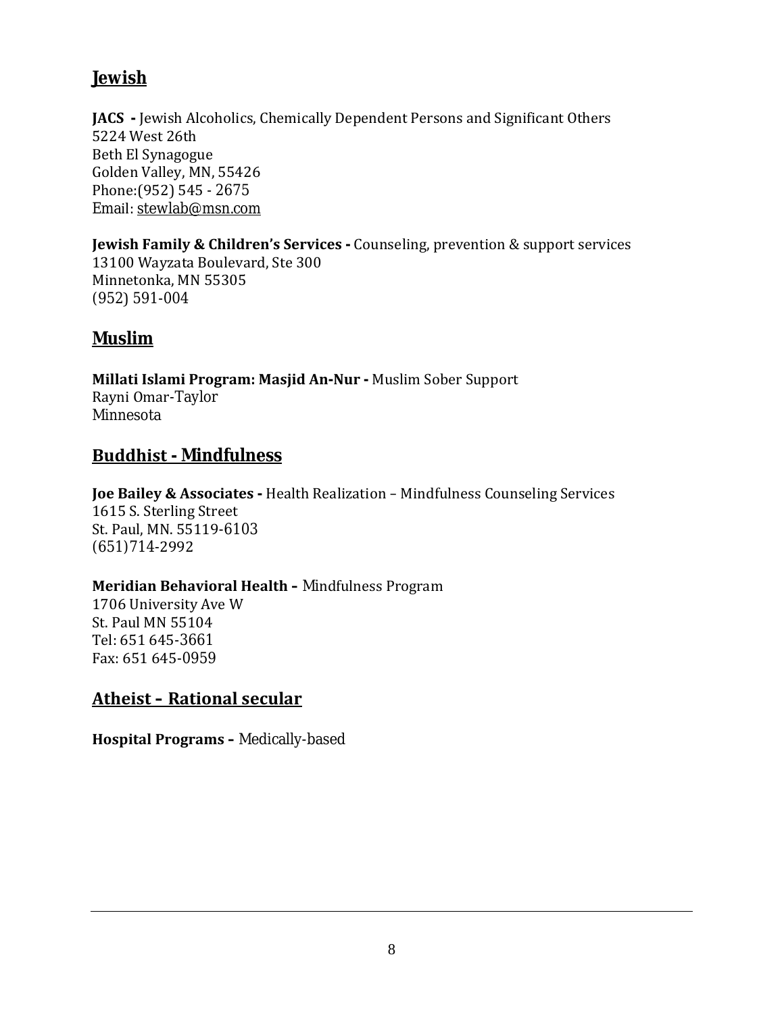## **Jewish**

**JACS -** Jewish Alcoholics, Chemically Dependent Persons and Significant Others 5224 West 26th Beth El Synagogue Golden Valley, MN, 55426 Phone:(952) 545 - 2675 Email: stewlab@msn.com

**Jewish Family & Children's Services -** Counseling, prevention & support services 13100 Wayzata Boulevard, Ste 300 Minnetonka, MN 55305 (952) 591-004

# **Muslim**

**Millati Islami Program: Masjid An-Nur -** Muslim Sober Support Rayni Omar-Taylor Minnesota

# **Buddhist - Mindfulness**

**Joe Bailey & Associates -** Health Realization – Mindfulness Counseling Services 1615 S. Sterling Street St. Paul, MN. 55119-6103 (651)714-2992

### **Meridian Behavioral Health –** Mindfulness Program

1706 University Ave W St. Paul MN 55104 Tel: 651 645-3661 Fax: 651 645-0959

# **Atheist – Rational secular**

**Hospital Programs –** Medically-based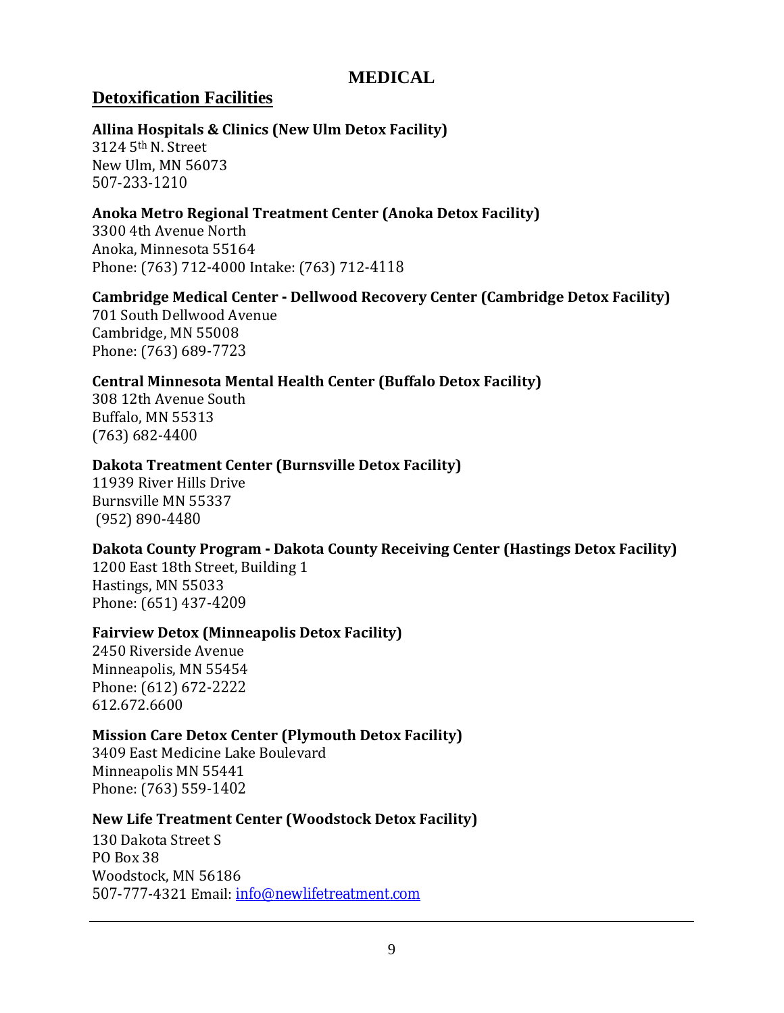### **MEDICAL**

### **Detoxification Facilities**

#### **Allina Hospitals & Clinics (New Ulm Detox Facility)**

3124 5th N. Street New Ulm, MN 56073 507-233-1210

### **Anoka Metro Regional Treatment Center (Anoka Detox Facility)**

3300 4th Avenue North Anoka, Minnesota 55164 Phone: (763) 712-4000 Intake: (763) 712-4118

#### **Cambridge Medical Center - Dellwood Recovery Center (Cambridge Detox Facility)**

701 South Dellwood Avenue Cambridge, MN 55008 Phone: (763) 689-7723

### **Central Minnesota Mental Health Center (Buffalo Detox Facility)**

308 12th Avenue South Buffalo, MN 55313 (763) 682-4400

#### **Dakota Treatment Center (Burnsville Detox Facility)**

11939 River Hills Drive Burnsville MN 55337 (952) 890-4480

### **Dakota County Program - Dakota County Receiving Center (Hastings Detox Facility)**

1200 East 18th Street, Building 1 Hastings, MN 55033 Phone: (651) 437-4209

#### **Fairview Detox (Minneapolis Detox Facility)**

2450 Riverside Avenue Minneapolis, MN 55454 Phone: (612) 672-2222 612.672.6600

#### **Mission Care Detox Center (Plymouth Detox Facility)**

3409 East Medicine Lake Boulevard Minneapolis MN 55441 Phone: (763) 559-1402

#### **New Life Treatment Center (Woodstock Detox Facility)**

130 Dakota Street S PO Box 38 Woodstock, MN 56186 507-777-4321 Email: info@newlifetreatment.com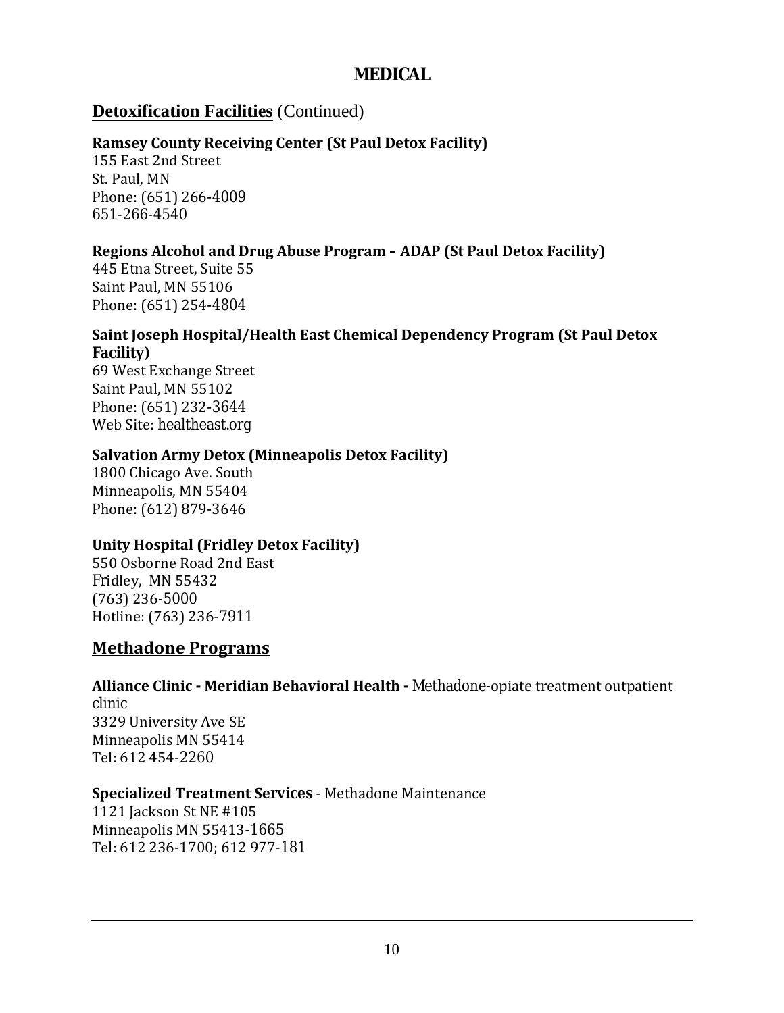### **MEDICAL**

### **Detoxification Facilities** (Continued)

### **Ramsey County Receiving Center (St Paul Detox Facility)**

155 East 2nd Street St. Paul, MN Phone: (651) 266-4009 651-266-4540

### **Regions Alcohol and Drug Abuse Program – ADAP (St Paul Detox Facility)**

445 Etna Street, Suite 55 Saint Paul, MN 55106 Phone: (651) 254-4804

#### **Saint Joseph Hospital/Health East Chemical Dependency Program (St Paul Detox Facility)**

69 West Exchange Street Saint Paul, MN 55102 Phone: (651) 232-3644 Web Site: healtheast.org

#### **Salvation Army Detox (Minneapolis Detox Facility)**

1800 Chicago Ave. South Minneapolis, MN 55404 Phone: (612) 879-3646

### **Unity Hospital (Fridley Detox Facility)**

550 Osborne Road 2nd East Fridley, MN 55432 (763) 236-5000 Hotline: (763) 236-7911

### **Methadone Programs**

**Alliance Clinic - Meridian Behavioral Health -** Methadone-opiate treatment outpatient clinic 3329 University Ave SE Minneapolis MN 55414 Tel: 612 454-2260

### **Specialized Treatment Services** - Methadone Maintenance

1121 Jackson St NE #105 Minneapolis MN 55413-1665 Tel: 612 236-1700; 612 977-181